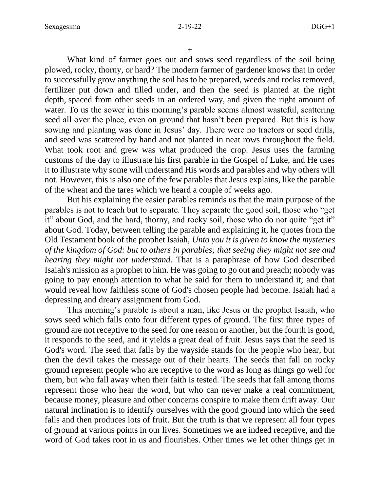$+$ 

What kind of farmer goes out and sows seed regardless of the soil being plowed, rocky, thorny, or hard? The modern farmer of gardener knows that in order to successfully grow anything the soil has to be prepared, weeds and rocks removed, fertilizer put down and tilled under, and then the seed is planted at the right depth, spaced from other seeds in an ordered way, and given the right amount of water. To us the sower in this morning's parable seems almost wasteful, scattering seed all over the place, even on ground that hasn't been prepared. But this is how sowing and planting was done in Jesus' day. There were no tractors or seed drills, and seed was scattered by hand and not planted in neat rows throughout the field. What took root and grew was what produced the crop. Jesus uses the farming customs of the day to illustrate his first parable in the Gospel of Luke, and He uses it to illustrate why some will understand His words and parables and why others will not. However, this is also one of the few parables that Jesus explains, like the parable of the wheat and the tares which we heard a couple of weeks ago.

But his explaining the easier parables reminds us that the main purpose of the parables is not to teach but to separate. They separate the good soil, those who "get it" about God, and the hard, thorny, and rocky soil, those who do not quite "get it" about God. Today, between telling the parable and explaining it, he quotes from the Old Testament book of the prophet Isaiah, *Unto you it is given to know the mysteries of the kingdom of God: but to others in parables; that seeing they might not see and hearing they might not understand*. That is a paraphrase of how God described Isaiah's mission as a prophet to him. He was going to go out and preach; nobody was going to pay enough attention to what he said for them to understand it; and that would reveal how faithless some of God's chosen people had become. Isaiah had a depressing and dreary assignment from God.

This morning's parable is about a man, like Jesus or the prophet Isaiah, who sows seed which falls onto four different types of ground. The first three types of ground are not receptive to the seed for one reason or another, but the fourth is good, it responds to the seed, and it yields a great deal of fruit. Jesus says that the seed is God's word. The seed that falls by the wayside stands for the people who hear, but then the devil takes the message out of their hearts. The seeds that fall on rocky ground represent people who are receptive to the word as long as things go well for them, but who fall away when their faith is tested. The seeds that fall among thorns represent those who hear the word, but who can never make a real commitment, because money, pleasure and other concerns conspire to make them drift away. Our natural inclination is to identify ourselves with the good ground into which the seed falls and then produces lots of fruit. But the truth is that we represent all four types of ground at various points in our lives. Sometimes we are indeed receptive, and the word of God takes root in us and flourishes. Other times we let other things get in